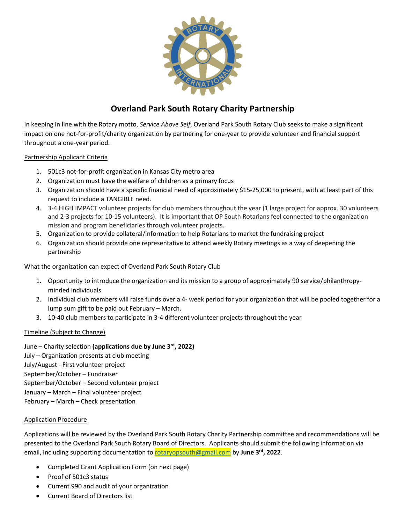

# **Overland Park South Rotary Charity Partnership**

In keeping in line with the Rotary motto, *Service Above Self*, Overland Park South Rotary Club seeks to make a significant impact on one not-for-profit/charity organization by partnering for one-year to provide volunteer and financial support throughout a one-year period.

#### Partnership Applicant Criteria

- 1. 501c3 not-for-profit organization in Kansas City metro area
- 2. Organization must have the welfare of children as a primary focus
- 3. Organization should have a specific financial need of approximately \$15-25,000 to present, with at least part of this request to include a TANGIBLE need.
- 4. 3-4 HIGH IMPACT volunteer projects for club members throughout the year (1 large project for approx. 30 volunteers and 2-3 projects for 10-15 volunteers). It is important that OP South Rotarians feel connected to the organization mission and program beneficiaries through volunteer projects.
- 5. Organization to provide collateral/information to help Rotarians to market the fundraising project
- 6. Organization should provide one representative to attend weekly Rotary meetings as a way of deepening the partnership

### What the organization can expect of Overland Park South Rotary Club

- 1. Opportunity to introduce the organization and its mission to a group of approximately 90 service/philanthropyminded individuals.
- 2. Individual club members will raise funds over a 4- week period for your organization that will be pooled together for a lump sum gift to be paid out February – March.
- 3. 10-40 club members to participate in 3-4 different volunteer projects throughout the year

### Timeline (Subject to Change)

June – Charity selection **(applications due by June 3rd, 2022)** July – Organization presents at club meeting July/August - First volunteer project September/October – Fundraiser September/October – Second volunteer project January – March – Final volunteer project February – March – Check presentation

#### Application Procedure

Applications will be reviewed by the Overland Park South Rotary Charity Partnership committee and recommendations will be presented to the Overland Park South Rotary Board of Directors. Applicants should submit the following information via email, including supporting documentation to rotaryopsouth@gmail.com by **June 3rd, 2022**.

- Completed Grant Application Form (on next page)
- Proof of 501c3 status
- Current 990 and audit of your organization
- Current Board of Directors list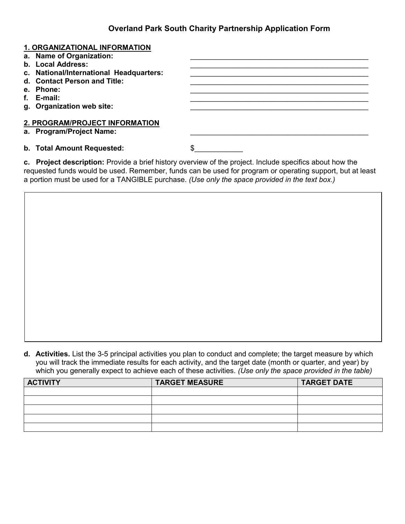## **Overland Park South Charity Partnership Application Form**

| <b>1. ORGANIZATIONAL INFORMATION</b><br>a. Name of Organization: |    |
|------------------------------------------------------------------|----|
| b. Local Address:                                                |    |
| c. National/International Headquarters:                          |    |
| d. Contact Person and Title:                                     |    |
| e. Phone:                                                        |    |
| f. E-mail:                                                       |    |
| g. Organization web site:                                        |    |
| 2. PROGRAM/PROJECT INFORMATION<br>a. Program/Project Name:       |    |
| b. Total Amount Requested:                                       | \$ |

**c.** Project description: Provide a brief history overview of the project. Include specifics about how the requested funds would be used. Remember, funds can be used for program or operating support, but at least a portion must be used for a TANGIBLE purchase. *(Use only the space provided in the text box.)*

**d. Activities.** List the 3-5 principal activities you plan to conduct and complete; the target measure by which you will track the immediate results for each activity, and the target date (month or quarter, and year) by which you generally expect to achieve each of these activities. *(Use only the space provided in the table)*

| <b>ACTIVITY</b> | <b>TARGET MEASURE</b> | <b>TARGET DATE</b> |
|-----------------|-----------------------|--------------------|
|                 |                       |                    |
|                 |                       |                    |
|                 |                       |                    |
|                 |                       |                    |
|                 |                       |                    |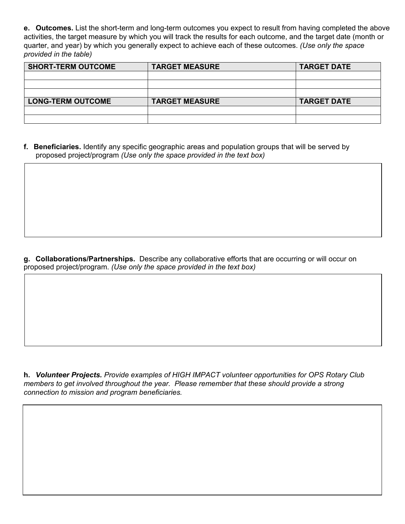**e. Outcomes.** List the short-term and long-term outcomes you expect to result from having completed the above activities, the target measure by which you will track the results for each outcome, and the target date (month or quarter, and year) by which you generally expect to achieve each of these outcomes. *(Use only the space provided in the table)*

| <b>SHORT-TERM OUTCOME</b> | <b>TARGET MEASURE</b> | <b>TARGET DATE</b> |
|---------------------------|-----------------------|--------------------|
|                           |                       |                    |
|                           |                       |                    |
|                           |                       |                    |
| <b>LONG-TERM OUTCOME</b>  | <b>TARGET MEASURE</b> | <b>TARGET DATE</b> |
|                           |                       |                    |
|                           |                       |                    |

**I. Beneficiaries.** Identify any specific geographic areas and population groups that will be served by proposed project/program *(Use only the space provided in the text box)*

**J. Collaborations/Partnerships.** Describe any collaborative efforts that are occurring or will occur on proposed project/program. *(Use only the space provided in the text box)* 

**K** *Volunteer Projects. Provide examples of HIGH IMPACT volunteer opportunities for OPS Rotary Club members to get involved throughout the year. Please remember that these should provide a strong connection to mission and program beneficiaries.*